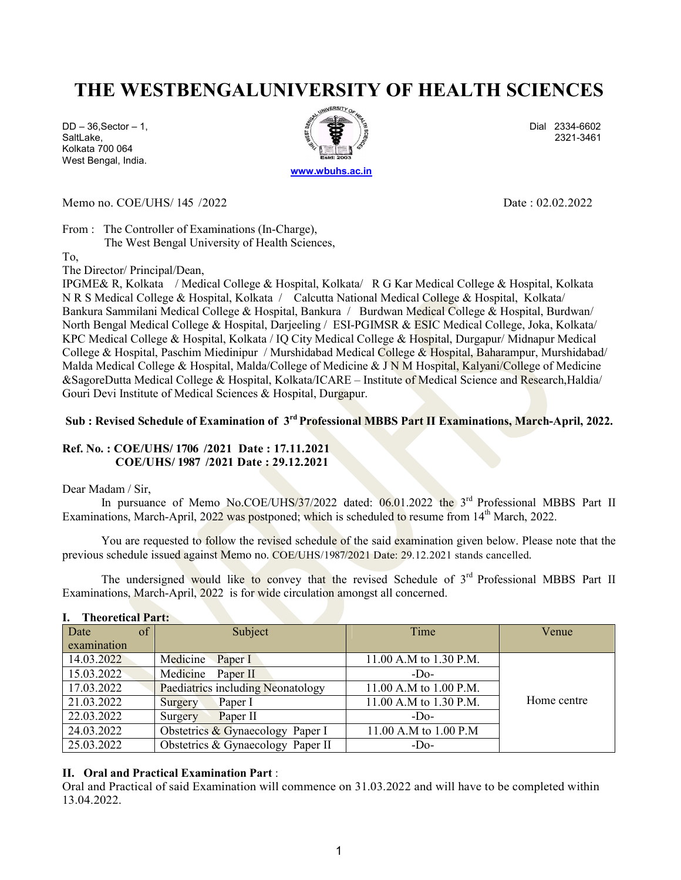# THE WESTBENGALUNIVERSITY OF HEALTH SCIENCES

Kolkata 700 064 West Bengal, India.



Memo no. COE/UHS/ 145 /2022 **Date : 02.02.2022** 

From : The Controller of Examinations (In-Charge), The West Bengal University of Health Sciences,

To,

The Director/ Principal/Dean,

IPGME& R, Kolkata / Medical College & Hospital, Kolkata/ R G Kar Medical College & Hospital, Kolkata N R S Medical College & Hospital, Kolkata / Calcutta National Medical College & Hospital, Kolkata/ Bankura Sammilani Medical College & Hospital, Bankura / Burdwan Medical College & Hospital, Burdwan/ North Bengal Medical College & Hospital, Darjeeling / ESI-PGIMSR & ESIC Medical College, Joka, Kolkata/ KPC Medical College & Hospital, Kolkata / IQ City Medical College & Hospital, Durgapur/ Midnapur Medical College & Hospital, Paschim Miedinipur / Murshidabad Medical College & Hospital, Baharampur, Murshidabad/ Malda Medical College & Hospital, Malda/College of Medicine & J N M Hospital, Kalyani/College of Medicine &SagoreDutta Medical College & Hospital, Kolkata/ICARE – Institute of Medical Science and Research,Haldia/ Gouri Devi Institute of Medical Sciences & Hospital, Durgapur.

### Sub : Revised Schedule of Examination of 3<sup>rd</sup> Professional MBBS Part II Examinations, March-April, 2022.

#### Ref. No. : COE/UHS/ 1706 /2021 Date : 17.11.2021 COE/UHS/ 1987 /2021 Date : 29.12.2021

#### Dear Madam / Sir,

In pursuance of Memo No.COE/UHS/37/2022 dated: 06.01.2022 the 3<sup>rd</sup> Professional MBBS Part II Examinations, March-April, 2022 was postponed; which is scheduled to resume from 14<sup>th</sup> March, 2022.

You are requested to follow the revised schedule of the said examination given below. Please note that the previous schedule issued against Memo no. COE/UHS/1987/2021 Date: 29.12.2021 stands cancelled.

The undersigned would like to convey that the revised Schedule of 3<sup>rd</sup> Professional MBBS Part II Examinations, March-April, 2022 is for wide circulation amongst all concerned.

| of'<br>Date | Subject                            | Time                   | Venue       |
|-------------|------------------------------------|------------------------|-------------|
| examination |                                    |                        |             |
| 14.03.2022  | Medicine<br>Paper I                | 11.00 A.M to 1.30 P.M. |             |
| 15.03.2022  | Medicine<br>Paper II               | $-DO$                  |             |
| 17.03.2022  | Paediatrics including Neonatology  | 11.00 A.M to 1.00 P.M. |             |
| 21.03.2022  | Paper I<br>Surgery                 | 11.00 A.M to 1.30 P.M. | Home centre |
| 22.03.2022  | Paper II<br>Surgery                | $-DO$                  |             |
| 24.03.2022  | Obstetrics $&$ Gynaecology Paper I | 11.00 A.M to 1.00 P.M  |             |
| 25.03.2022  | Obstetrics & Gynaecology Paper II  | $-DO$                  |             |

#### I. Theoretical Part:

### II. Oral and Practical Examination Part :

Oral and Practical of said Examination will commence on 31.03.2022 and will have to be completed within 13.04.2022.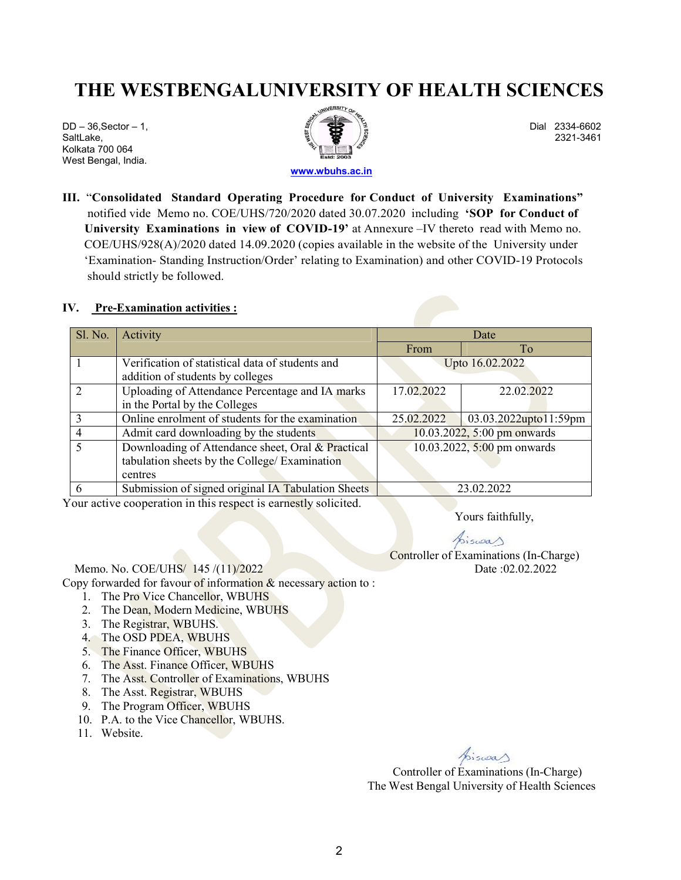# THE WESTBENGALUNIVERSITY OF HEALTH SCIENCES

Kolkata 700 064 West Bengal, India.



III. "Consolidated Standard Operating Procedure for Conduct of University Examinations" notified vide Memo no. COE/UHS/720/2020 dated 30.07.2020 including 'SOP for Conduct of University Examinations in view of COVID-19' at Annexure –IV thereto read with Memo no. COE/UHS/928(A)/2020 dated 14.09.2020 (copies available in the website of the University under 'Examination- Standing Instruction/Order' relating to Examination) and other COVID-19 Protocols should strictly be followed.

#### IV. Pre-Examination activities :

| Sl. No. | Activity                                           | Date                        |                       |  |
|---------|----------------------------------------------------|-----------------------------|-----------------------|--|
|         |                                                    | From                        | To                    |  |
|         | Verification of statistical data of students and   | Upto 16.02.2022             |                       |  |
|         | addition of students by colleges                   |                             |                       |  |
|         | Uploading of Attendance Percentage and IA marks    | 17.02.2022                  | 22.02.2022            |  |
|         | in the Portal by the Colleges                      |                             |                       |  |
| 3       | Online enrolment of students for the examination   | 25.02.2022                  | 03.03.2022upto11:59pm |  |
| 4       | Admit card downloading by the students             | 10.03.2022, 5:00 pm onwards |                       |  |
|         | Downloading of Attendance sheet, Oral & Practical  | 10.03.2022, 5:00 pm onwards |                       |  |
|         | tabulation sheets by the College/ Examination      |                             |                       |  |
|         | centres                                            |                             |                       |  |
|         | Submission of signed original IA Tabulation Sheets |                             | 23.02.2022            |  |

Your active cooperation in this respect is earnestly solicited.

Yours faithfully,

Aiswa $\triangle$ Controller of Examinations (In-Charge)

Memo. No. COE/UHS/ 145 /(11)/2022 Date :02.02.2022

Copy forwarded for favour of information  $\&$  necessary action to :

- 1. The Pro Vice Chancellor, WBUHS
- 2. The Dean, Modern Medicine, WBUHS
- 3. The Registrar, WBUHS.
- 4. The OSD PDEA, WBUHS
- 5. The Finance Officer, WBUHS
- 6. The Asst. Finance Officer, WBUHS
- 7. The Asst. Controller of Examinations, WBUHS
- 8. The Asst. Registrar, WBUHS
- 9. The Program Officer, WBUHS
- 10. P.A. to the Vice Chancellor, WBUHS.
- 11. Website.

*Controller of Examinations (In-Charge)* The West Bengal University of Health Sciences